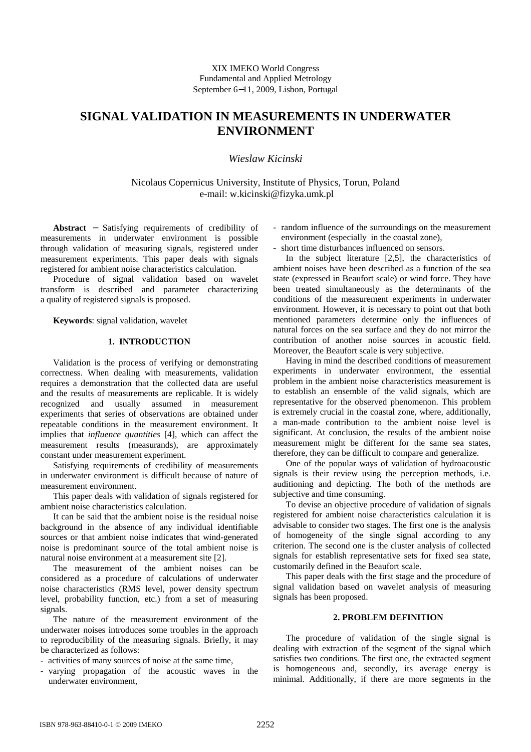# **SIGNAL VALIDATION IN MEASUREMENTS IN UNDERWATER ENVIRONMENT**

## *Wieslaw Kicinski*

Nicolaus Copernicus University, Institute of Physics, Torun, Poland e-mail: w.kicinski@fizyka.umk.pl

**Abstract** − Satisfying requirements of credibility of measurements in underwater environment is possible through validation of measuring signals, registered under measurement experiments. This paper deals with signals registered for ambient noise characteristics calculation.

Procedure of signal validation based on wavelet transform is described and parameter characterizing a quality of registered signals is proposed.

**Keywords**: signal validation, wavelet

#### **1. INTRODUCTION**

Validation is the process of verifying or demonstrating correctness. When dealing with measurements, validation requires a demonstration that the collected data are useful and the results of measurements are replicable. It is widely recognized and usually assumed in measurement experiments that series of observations are obtained under repeatable conditions in the measurement environment. It implies that *influence quantities* [4], which can affect the measurement results (measurands), are approximately constant under measurement experiment.

Satisfying requirements of credibility of measurements in underwater environment is difficult because of nature of measurement environment.

This paper deals with validation of signals registered for ambient noise characteristics calculation.

It can be said that the ambient noise is the residual noise background in the absence of any individual identifiable sources or that ambient noise indicates that wind-generated noise is predominant source of the total ambient noise is natural noise environment at a measurement site [2].

The measurement of the ambient noises can be considered as a procedure of calculations of underwater noise characteristics (RMS level, power density spectrum level, probability function, etc.) from a set of measuring signals.

The nature of the measurement environment of the underwater noises introduces some troubles in the approach to reproducibility of the measuring signals. Briefly, it may be characterized as follows:

- activities of many sources of noise at the same time,

- varying propagation of the acoustic waves in the underwater environment,

- random influence of the surroundings on the measurement environment (especially in the coastal zone),
- short time disturbances influenced on sensors.

In the subject literature [2,5], the characteristics of ambient noises have been described as a function of the sea state (expressed in Beaufort scale) or wind force. They have been treated simultaneously as the determinants of the conditions of the measurement experiments in underwater environment. However, it is necessary to point out that both mentioned parameters determine only the influences of natural forces on the sea surface and they do not mirror the contribution of another noise sources in acoustic field. Moreover, the Beaufort scale is very subjective.

Having in mind the described conditions of measurement experiments in underwater environment, the essential problem in the ambient noise characteristics measurement is to establish an ensemble of the valid signals, which are representative for the observed phenomenon. This problem is extremely crucial in the coastal zone, where, additionally, a man-made contribution to the ambient noise level is significant. At conclusion, the results of the ambient noise measurement might be different for the same sea states, therefore, they can be difficult to compare and generalize.

One of the popular ways of validation of hydroacoustic signals is their review using the perception methods, i.e. auditioning and depicting. The both of the methods are subjective and time consuming.

To devise an objective procedure of validation of signals registered for ambient noise characteristics calculation it is advisable to consider two stages. The first one is the analysis of homogeneity of the single signal according to any criterion. The second one is the cluster analysis of collected signals for establish representative sets for fixed sea state, customarily defined in the Beaufort scale.

This paper deals with the first stage and the procedure of signal validation based on wavelet analysis of measuring signals has been proposed.

### **2. PROBLEM DEFINITION**

The procedure of validation of the single signal is dealing with extraction of the segment of the signal which satisfies two conditions. The first one, the extracted segment is homogeneous and, secondly, its average energy is minimal. Additionally, if there are more segments in the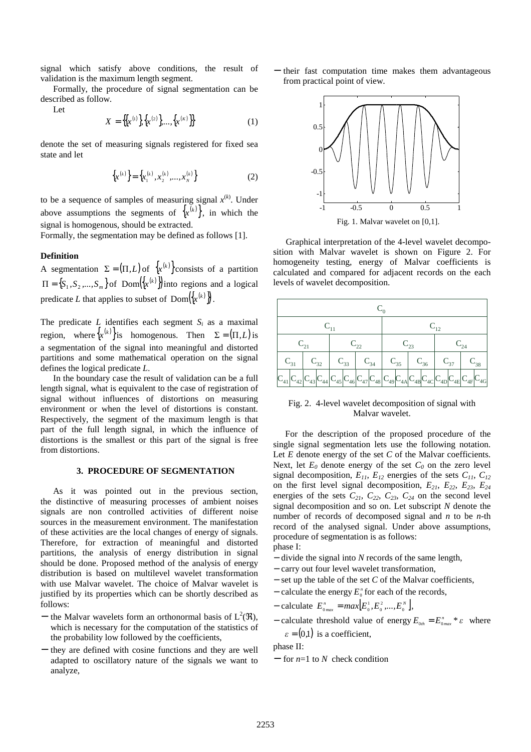signal which satisfy above conditions, the result of validation is the maximum length segment.

 Formally, the procedure of signal segmentation can be described as follow.

Let

$$
X = \{ \{x^{(1)}\} \{x^{(2)}\} \dots, \{x^{(K)}\} \}
$$
 (1)

denote the set of measuring signals registered for fixed sea state and let

$$
\left\{x^{(k)}\right\} = \left\{x_1^{(k)}, x_2^{(k)}, \dots, x_N^{(k)}\right\} \tag{2}
$$

to be a sequence of samples of measuring signal  $x^{(k)}$ . Under above assumptions the segments of  $\{x^{(k)}\}\$ , in which the signal is homogenous, should be extracted.

Formally, the segmentation may be defined as follows [1].

#### **Definition**

A segmentation  $\Sigma = (\Pi, L)$  of  $\{x^{(k)}\}$  consists of a partition  $\Pi = \{S_1, S_2, ..., S_m\}$  of  $Dom({x^{(k)}})$  into regions and a logical predicate *L* that applies to subset of  $\text{Dom}({x^{(k)}})$ .

The predicate  $L$  identifies each segment  $S_i$  as a maximal region, where  $\{x^{(k)}\}$  is homogenous. Then  $\Sigma = (\Pi, L)$  is a segmentation of the signal into meaningful and distorted partitions and some mathematical operation on the signal defines the logical predicate *L*.

In the boundary case the result of validation can be a full length signal, what is equivalent to the case of registration of signal without influences of distortions on measuring environment or when the level of distortions is constant. Respectively, the segment of the maximum length is that part of the full length signal, in which the influence of distortions is the smallest or this part of the signal is free from distortions.

#### **3. PROCEDURE OF SEGMENTATION**

As it was pointed out in the previous section, the distinctive of measuring processes of ambient noises signals are non controlled activities of different noise sources in the measurement environment. The manifestation of these activities are the local changes of energy of signals. Therefore, for extraction of meaningful and distorted partitions, the analysis of energy distribution in signal should be done. Proposed method of the analysis of energy distribution is based on multilevel wavelet transformation with use Malvar wavelet. The choice of Malvar wavelet is justified by its properties which can be shortly described as follows:

- the Malvar wavelets form an orthonormal basis of  $L^2(\mathfrak{R})$ , which is necessary for the computation of the statistics of the probability low followed by the coefficients,
- − they are defined with cosine functions and they are well adapted to oscillatory nature of the signals we want to analyze,

− their fast computation time makes them advantageous from practical point of view.



Graphical interpretation of the 4-level wavelet decomposition with Malvar wavelet is shown on Figure 2. For homogeneity testing, energy of Malvar coefficients is calculated and compared for adjacent records on the each levels of wavelet decomposition.

| $\mathbf{C}_{31}$ | 32                |  | 34 | $C_{35}$ | $\mathrm{C}_{36}$                                                                                                                      |  | 38 |  |  |  |
|-------------------|-------------------|--|----|----------|----------------------------------------------------------------------------------------------------------------------------------------|--|----|--|--|--|
|                   | $C_{44}$<br>$-43$ |  |    |          | $\big C_{45}\big C_{46}\big C_{47}\big C_{48}\big C_{49}\big C_{4A}\big C_{4B}\big C_{4C}\big C_{4D}\big C_{4E}\big C_{4E}\big C_{4F}$ |  | 4G |  |  |  |

Fig. 2. 4-level wavelet decomposition of signal with Malvar wavelet.

For the description of the proposed procedure of the single signal segmentation lets use the following notation. Let *E* denote energy of the set *C* of the Malvar coefficients. Next, let  $E_0$  denote energy of the set  $C_0$  on the zero level signal decomposition,  $E_{11}$ ,  $E_{12}$  energies of the sets  $C_{11}$ ,  $C_{12}$ on the first level signal decomposition,  $E_{21}$ ,  $E_{22}$ ,  $E_{23}$ ,  $E_{24}$ energies of the sets  $C_{21}$ ,  $C_{22}$ ,  $C_{23}$ ,  $C_{24}$  on the second level signal decomposition and so on. Let subscript *N* denote the number of records of decomposed signal and *n* to be *n*-th record of the analysed signal. Under above assumptions, procedure of segmentation is as follows: phase I:

- − divide the signal into *N* records of the same length,
- − carry out four level wavelet transformation,
- − set up the table of the set *C* of the Malvar coefficients,
- − calculate the energy  $E_0^n$  for each of the records,
- $-$  calculate  $E_{_{0max}}^n = max[E_{_0}^1, E_{_0}^2, ..., E_{_0}^N],$
- $-$  calculate threshold value of energy  $E_{\text{on}} = E_{\text{onax}}^n * \varepsilon$  where  $\varepsilon$  = (0,1) is a coefficient,

phase II:

− for *n*=1 to *N* check condition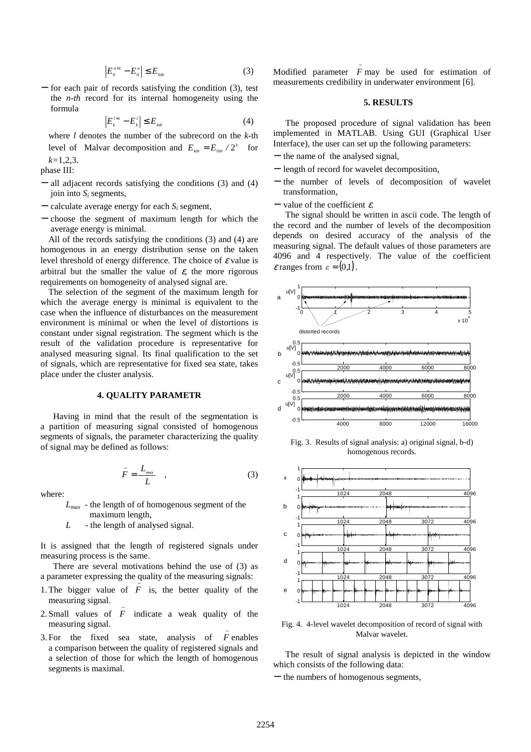$$
\left| E_{0}^{n+1} - E_{0}^{n} \right| \leq E_{0th} \tag{3}
$$

for each pair of records satisfying the condition (3), test the *n-th* record for its internal homogeneity using the formula

$$
\left| E_{k}^{l+1} - E_{k}^{l} \right| \le E_{kth} \tag{4}
$$

where *l* denotes the number of the subrecord on the *k*-th level of Malvar decomposition and  $E_{kth} = E_{0th} / 2^k$  for *k=*1,2,3.

phase III:

- − all adjacent records satisfying the conditions (3) and (4) join into  $S_i$  segments,
- $-$  calculate average energy for each  $S_i$  segment,
- − choose the segment of maximum length for which the average energy is minimal.

All of the records satisfying the conditions (3) and (4) are homogenous in an energy distribution sense on the taken level threshold of energy difference. The choice of  $\varepsilon$  value is arbitral but the smaller the value of  $\varepsilon$ , the more rigorous requirements on homogeneity of analysed signal are.

The selection of the segment of the maximum length for which the average energy is minimal is equivalent to the case when the influence of disturbances on the measurement environment is minimal or when the level of distortions is constant under signal registration. The segment which is the result of the validation procedure is representative for analysed measuring signal. Its final qualification to the set of signals, which are representative for fixed sea state, takes place under the cluster analysis.

## **4. QUALITY PARAMETR**

Having in mind that the result of the segmentation is a partition of measuring signal consisted of homogenous segments of signals, the parameter characterizing the quality of signal may be defined as follows:

$$
\widehat{F} = \frac{L_{\text{max}}}{L} \quad , \tag{3}
$$

where:

 $L_{max}$  - the length of of homogenous segment of the maximum length,

*L* - the length of analysed signal.

It is assigned that the length of registered signals under measuring process is the same.

There are several motivations behind the use of (3) as a parameter expressing the quality of the measuring signals:

- 1. The bigger value of  $F$  is, the better quality of the measuring signal.  $\overline{a}$
- 2. Small values of *F* indicate a weak quality of the measuring signal.  $\overline{a}$
- 3. For the fixed sea state, analysis of *F* enables a comparison between the quality of registered signals and a selection of those for which the length of homogenous segments is maximal.

Modified parameter *F* may be used for estimation of measurements credibility in underwater environment [6].

)

### **5. RESULTS**

The proposed procedure of signal validation has been implemented in MATLAB. Using GUI (Graphical User Interface), the user can set up the following parameters:

- − the name of the analysed signal,
- − length of record for wavelet decomposition,
- − the number of levels of decomposition of wavelet transformation,
- $-$  value of the coefficient  $\varepsilon$ .

The signal should be written in ascii code. The length of the record and the number of levels of the decomposition depends on desired accuracy of the analysis of the measuring signal. The default values of those parameters are 4096 and 4 respectively. The value of the coefficient  $\varepsilon$  ranges from  $\varepsilon = (0,1)$ .



Fig. 3. Results of signal analysis: a) original signal, b-d) homogenous records.



Fig. 4. 4-level wavelet decomposition of record of signal with Malvar wavelet.

The result of signal analysis is depicted in the window which consists of the following data:

− the numbers of homogenous segments,